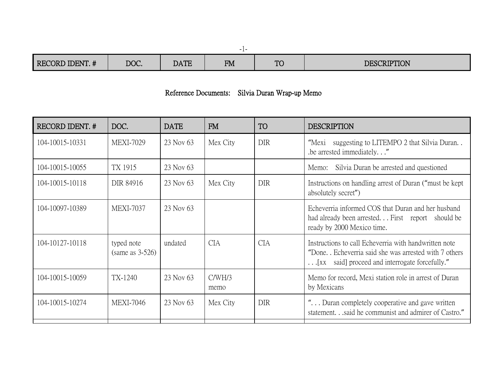| <b>RECORD IDENT. #</b> | DOC. | DATE | <b>FM</b> | TC | <b>DESCRIPTION</b> |
|------------------------|------|------|-----------|----|--------------------|

## Reference Documents: Silvia Duran Wrap-up Memo

| RECORD IDENT. # | DOC.                             | <b>DATE</b> | <b>FM</b>      | <b>TO</b>  | <b>DESCRIPTION</b>                                                                                                                                               |
|-----------------|----------------------------------|-------------|----------------|------------|------------------------------------------------------------------------------------------------------------------------------------------------------------------|
| 104-10015-10331 | <b>MEXI-7029</b>                 | 23 Nov 63   | Mex City       | <b>DIR</b> | suggesting to LITEMPO 2 that Silvia Duran<br>"Mexi<br>be arrested immediately."                                                                                  |
| 104-10015-10055 | TX 1915                          | 23 Nov 63   |                |            | Silvia Duran be arrested and questioned<br>Memo:                                                                                                                 |
| 104-10015-10118 | DIR 84916                        | 23 Nov 63   | Mex City       | <b>DIR</b> | Instructions on handling arrest of Duran ("must be kept"<br>absolutely secret")                                                                                  |
| 104-10097-10389 | <b>MEXI-7037</b>                 | 23 Nov 63   |                |            | Echeverria informed COS that Duran and her husband<br>had already been arrested First report should be<br>ready by 2000 Mexico time.                             |
| 104-10127-10118 | typed note<br>(same as $3-526$ ) | undated     | <b>CIA</b>     | <b>CIA</b> | Instructions to call Echeverria with handwritten note<br>"Done. Echeverria said she was arrested with 7 others<br>[xx said] proceed and interrogate forcefully." |
| 104-10015-10059 | TX-1240                          | 23 Nov 63   | C/WH/3<br>memo |            | Memo for record, Mexi station role in arrest of Duran<br>by Mexicans                                                                                             |
| 104-10015-10274 | <b>MEXI-7046</b>                 | 23 Nov 63   | Mex City       | <b>DIR</b> | " Duran completely cooperative and gave written<br>statement.said he communist and admirer of Castro."                                                           |

-1-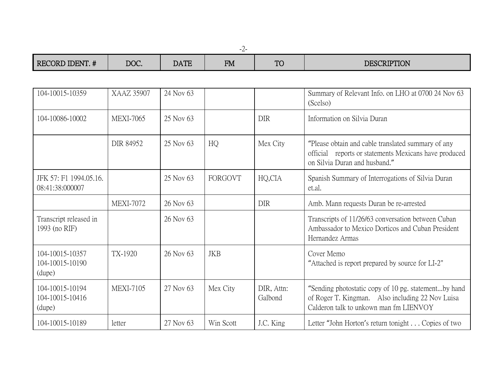-2-

| IDENT. #<br><b>RECORD</b> | DOC. | <b>DATE</b> | FМ<br>T TAT | $\mathbf{m}$<br>$\overline{z}$ | <b>DESCRIPTION</b> |
|---------------------------|------|-------------|-------------|--------------------------------|--------------------|

| 104-10015-10359                              | <b>XAAZ 35907</b> | 24 Nov 63 |            |                       | Summary of Relevant Info. on LHO at 0700 24 Nov 63<br>(Scelso)                                                                                     |
|----------------------------------------------|-------------------|-----------|------------|-----------------------|----------------------------------------------------------------------------------------------------------------------------------------------------|
| 104-10086-10002                              | <b>MEXI-7065</b>  | 25 Nov 63 |            | <b>DIR</b>            | Information on Silvia Duran                                                                                                                        |
|                                              | DIR 84952         | 25 Nov 63 | HQ         | Mex City              | "Please obtain and cable translated summary of any<br>official reports or statements Mexicans have produced<br>on Silvia Duran and husband."       |
| JFK 57: F1 1994.05.16.<br>08:41:38:000007    |                   | 25 Nov 63 | FORGOVT    | HQ,CIA                | Spanish Summary of Interrogations of Silvia Duran<br>et.al.                                                                                        |
|                                              | <b>MEXI-7072</b>  | 26 Nov 63 |            | <b>DIR</b>            | Amb. Mann requests Duran be re-arrested                                                                                                            |
| Transcript released in<br>1993 (no RIF)      |                   | 26 Nov 63 |            |                       | Transcripts of 11/26/63 conversation between Cuban<br>Ambassador to Mexico Dorticos and Cuban President<br>Hernandez Armas                         |
| 104-10015-10357<br>104-10015-10190<br>(dupe) | TX-1920           | 26 Nov 63 | <b>JKB</b> |                       | Cover Memo<br>"Attached is report prepared by source for LI-2"                                                                                     |
| 104-10015-10194<br>104-10015-10416<br>(dupe) | <b>MEXI-7105</b>  | 27 Nov 63 | Mex City   | DIR, Attn:<br>Galbond | "Sending photostatic copy of 10 pg. statementby hand<br>of Roger T. Kingman. Also including 22 Nov Luisa<br>Calderon talk to unkown man fm LIENVOY |
| 104-10015-10189                              | letter            | 27 Nov 63 | Win Scott  | J.C. King             | Letter "John Horton's return tonight Copies of two                                                                                                 |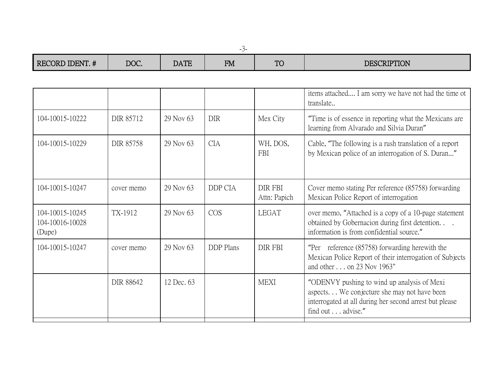|    | ×,                 |    |
|----|--------------------|----|
| __ | ۰.<br>٧<br>۰.<br>× | __ |

| RECORD IDENT. #                              | DOC.             | <b>DATE</b> | <b>FM</b>        | <b>TO</b>               | <b>DESCRIPTION</b>                                                                                                                                                         |
|----------------------------------------------|------------------|-------------|------------------|-------------------------|----------------------------------------------------------------------------------------------------------------------------------------------------------------------------|
|                                              |                  |             |                  |                         |                                                                                                                                                                            |
|                                              |                  |             |                  |                         | items attached I am sorry we have not had the time ot<br>translate                                                                                                         |
| 104-10015-10222                              | DIR 85712        | 29 Nov 63   | <b>DIR</b>       | Mex City                | "Time is of essence in reporting what the Mexicans are<br>learning from Alvarado and Silvia Duran"                                                                         |
| 104-10015-10229                              | <b>DIR 85758</b> | 29 Nov 63   | <b>CIA</b>       | WH, DOS,<br><b>FBI</b>  | Cable, "The following is a rush translation of a report<br>by Mexican police of an interrogation of S. Duran"                                                              |
| 104-10015-10247                              | cover memo       | 29 Nov 63   | DDP CIA          | DIR FBI<br>Attn: Papich | Cover memo stating Per reference (85758) forwarding<br>Mexican Police Report of interrogation                                                                              |
| 104-10015-10245<br>104-10016-10028<br>(Dupe) | TX-1912          | 29 Nov 63   | <b>COS</b>       | <b>LEGAT</b>            | over memo, "Attached is a copy of a 10-page statement<br>obtained by Gobernacion during first detention.<br>information is from confidential source."                      |
| 104-10015-10247                              | cover memo       | 29 Nov 63   | <b>DDP</b> Plans | DIR FBI                 | "Per reference $(85758)$ forwarding herewith the<br>Mexican Police Report of their interrogation of Subjects<br>and other on 23 Nov 1963"                                  |
|                                              | DIR 88642        | 12 Dec. 63  |                  | <b>MEXI</b>             | "ODENVY pushing to wind up analysis of Mexi<br>aspects We conjecture she may not have been<br>interrogated at all during her second arrest but please<br>find out advise." |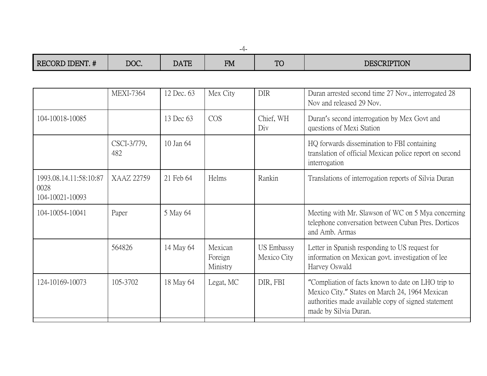| RECORD IDENT. #                                   | DOC.               | <b>DATE</b> | <b>FM</b>                      | <b>TO</b>                        | <b>DESCRIPTION</b>                                                                                                                                                                   |
|---------------------------------------------------|--------------------|-------------|--------------------------------|----------------------------------|--------------------------------------------------------------------------------------------------------------------------------------------------------------------------------------|
|                                                   |                    |             |                                |                                  |                                                                                                                                                                                      |
|                                                   | <b>MEXI-7364</b>   | 12 Dec. 63  | Mex City                       | <b>DIR</b>                       | Duran arrested second time 27 Nov., interrogated 28<br>Nov and released 29 Nov.                                                                                                      |
| 104-10018-10085                                   |                    | 13 Dec 63   | <b>COS</b>                     | Chief, WH<br>Div                 | Duran's second interrogation by Mex Govt and<br>questions of Mexi Station                                                                                                            |
|                                                   | CSCI-3/779,<br>482 | 10 Jan 64   |                                |                                  | HQ forwards dissemination to FBI containing<br>translation of official Mexican police report on second<br>interrogation                                                              |
| 1993.08.14.11:58:10:87<br>0028<br>104-10021-10093 | XAAZ 22759         | 21 Feb 64   | Helms                          | Rankin                           | Translations of interrogation reports of Silvia Duran                                                                                                                                |
| 104-10054-10041                                   | Paper              | 5 May 64    |                                |                                  | Meeting with Mr. Slawson of WC on 5 Mya concerning<br>telephone conversation between Cuban Pres. Dorticos<br>and Amb. Armas                                                          |
|                                                   | 564826             | 14 May 64   | Mexican<br>Foreign<br>Ministry | <b>US Embassy</b><br>Mexico City | Letter in Spanish responding to US request for<br>information on Mexican govt. investigation of lee<br>Harvey Oswald                                                                 |
| 124-10169-10073                                   | 105-3702           | 18 May 64   | Legat, MC                      | DIR, FBI                         | "Compliation of facts known to date on LHO trip to<br>Mexico City." States on March 24, 1964 Mexican<br>authorities made available copy of signed statement<br>made by Silvia Duran. |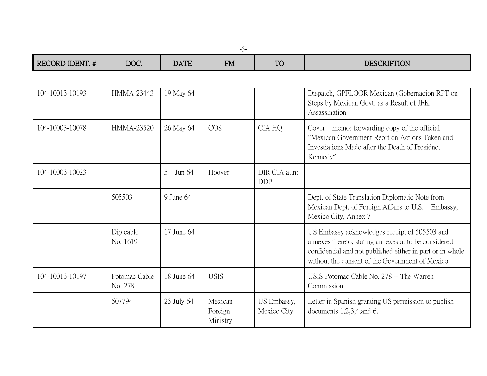| RECORD IDENT. # | DOC.                     | <b>DATE</b> | <b>FM</b>                      | <b>TO</b>                   | <b>DESCRIPTION</b>                                                                                                                                                                                                    |
|-----------------|--------------------------|-------------|--------------------------------|-----------------------------|-----------------------------------------------------------------------------------------------------------------------------------------------------------------------------------------------------------------------|
|                 |                          |             |                                |                             |                                                                                                                                                                                                                       |
| 104-10013-10193 | <b>HMMA-23443</b>        | 19 May 64   |                                |                             | Dispatch, GPFLOOR Mexican (Gobernacion RPT on<br>Steps by Mexican Govt. as a Result of JFK<br>Assassination                                                                                                           |
| 104-10003-10078 | <b>HMMA-23520</b>        | 26 May 64   | <b>COS</b>                     | CIA HQ                      | Cover memo: forwarding copy of the official<br>"Mexican Government Reort on Actions Taken and<br>Investiations Made after the Death of Presidnet<br>Kennedy"                                                          |
| 104-10003-10023 |                          | 5<br>Jun 64 | Hoover                         | DIR CIA attn:<br><b>DDP</b> |                                                                                                                                                                                                                       |
|                 | 505503                   | 9 June 64   |                                |                             | Dept. of State Translation Diplomatic Note from<br>Mexican Dept. of Foreign Affairs to U.S. Embassy,<br>Mexico City, Annex 7                                                                                          |
|                 | Dip cable<br>No. 1619    | 17 June 64  |                                |                             | US Embassy acknowledges receipt of 505503 and<br>annexes thereto, stating annexes at to be considered<br>confidential and not published either in part or in whole<br>without the consent of the Government of Mexico |
| 104-10013-10197 | Potomac Cable<br>No. 278 | 18 June 64  | <b>USIS</b>                    |                             | USIS Potomac Cable No. 278 -- The Warren<br>Commission                                                                                                                                                                |
|                 | 507794                   | 23 July 64  | Mexican<br>Foreign<br>Ministry | US Embassy,<br>Mexico City  | Letter in Spanish granting US permission to publish<br>documents $1,2,3,4,$ and 6.                                                                                                                                    |

-5-